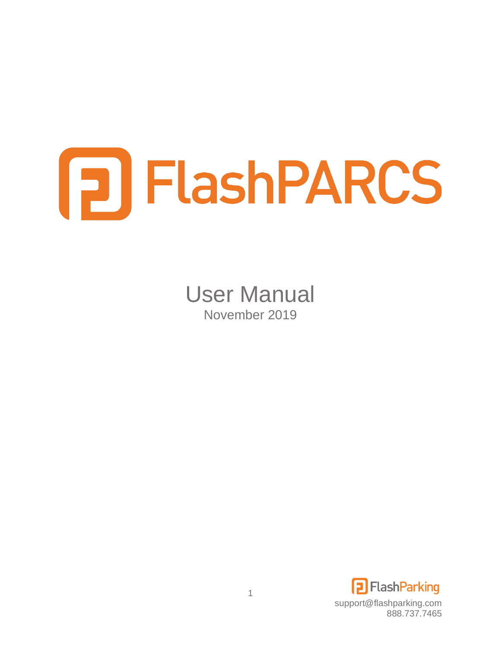# **FLashPARCS**

User Manual November 2019

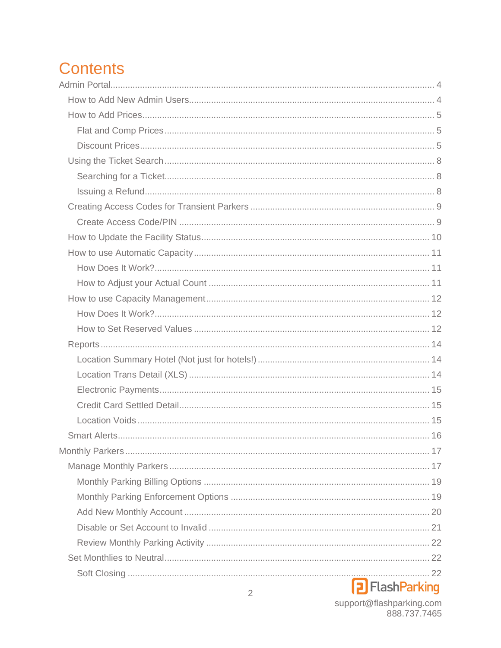# **Contents**

## **P** Flash Parking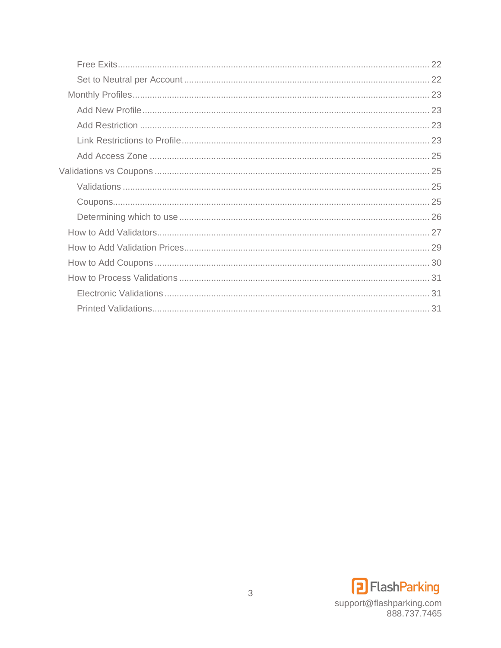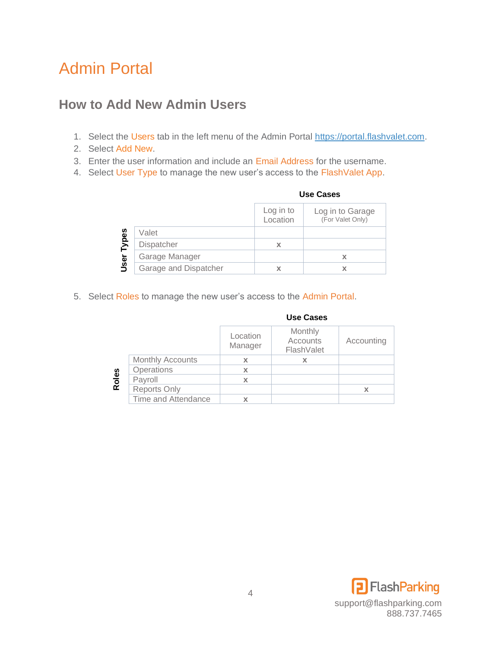# <span id="page-3-0"></span>Admin Portal

## <span id="page-3-1"></span>**How to Add New Admin Users**

- 1. Select the Users tab in the left menu of the Admin Portal [https://portal.flashvalet.com.](https://portal.flashvalet.com/)
- 2. Select Add New.
- 3. Enter the user information and include an Email Address for the username.
- 4. Select User Type to manage the new user's access to the FlashValet App.

|       |                       | Log in to<br>Location | Log in to Garage<br>(For Valet Only) |
|-------|-----------------------|-----------------------|--------------------------------------|
|       | Valet                 |                       |                                      |
| Types | Dispatcher            | χ                     |                                      |
|       | Garage Manager        |                       |                                      |
| User  | Garage and Dispatcher |                       |                                      |

#### 5. Select Roles to manage the new user's access to the Admin Portal.

|       |                         |                     | us <del>c</del> uascs             |            |
|-------|-------------------------|---------------------|-----------------------------------|------------|
|       |                         | Location<br>Manager | Monthly<br>Accounts<br>FlashValet | Accounting |
|       | <b>Monthly Accounts</b> | х                   |                                   |            |
|       | Operations              | X                   |                                   |            |
| Roles | Payroll                 | x                   |                                   |            |
|       | <b>Reports Only</b>     |                     |                                   |            |
|       | Time and Attendance     |                     |                                   |            |

#### **Use Cases**

**Use Cases**

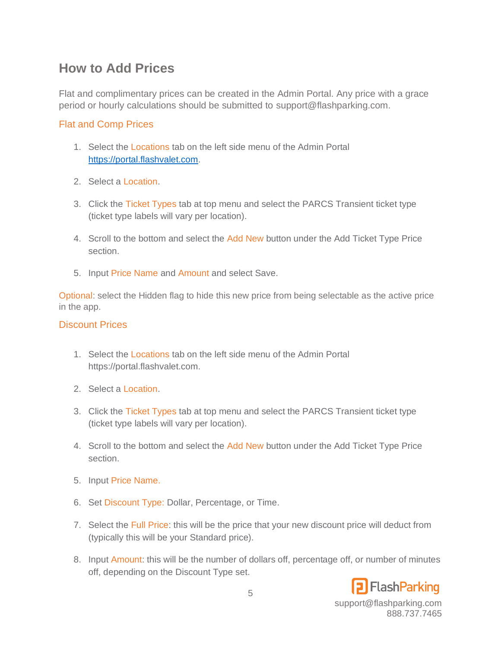## <span id="page-4-0"></span>**How to Add Prices**

Flat and complimentary prices can be created in the Admin Portal. Any price with a grace period or hourly calculations should be submitted to support@flashparking.com.

#### <span id="page-4-1"></span>Flat and Comp Prices

- 1. Select the Locations tab on the left side menu of the Admin Portal [https://portal.flashvalet.com.](https://portal.flashvalet.com/)
- 2. Select a Location.
- 3. Click the Ticket Types tab at top menu and select the PARCS Transient ticket type (ticket type labels will vary per location).
- 4. Scroll to the bottom and select the Add New button under the Add Ticket Type Price section.
- 5. Input Price Name and Amount and select Save.

Optional: select the Hidden flag to hide this new price from being selectable as the active price in the app.

#### <span id="page-4-2"></span>Discount Prices

- 1. Select the Locations tab on the left side menu of the Admin Portal https://portal.flashvalet.com.
- 2. Select a Location.
- 3. Click the Ticket Types tab at top menu and select the PARCS Transient ticket type (ticket type labels will vary per location).
- 4. Scroll to the bottom and select the Add New button under the Add Ticket Type Price section.
- 5. Input Price Name.
- 6. Set Discount Type: Dollar, Percentage, or Time.
- 7. Select the Full Price: this will be the price that your new discount price will deduct from (typically this will be your Standard price).
- 8. Input Amount: this will be the number of dollars off, percentage off, or number of minutes off, depending on the Discount Type set.

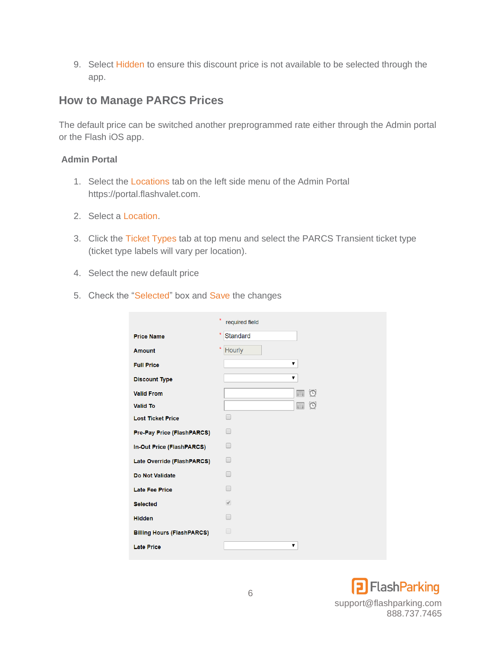9. Select Hidden to ensure this discount price is not available to be selected through the app.

### **How to Manage PARCS Prices**

The default price can be switched another preprogrammed rate either through the Admin portal or the Flash iOS app.

#### **Admin Portal**

- 1. Select the Locations tab on the left side menu of the Admin Portal https://portal.flashvalet.com.
- 2. Select a Location.
- 3. Click the Ticket Types tab at top menu and select the PARCS Transient ticket type (ticket type labels will vary per location).
- 4. Select the new default price
- 5. Check the "Selected" box and Save the changes

|                                   | $\star$<br>required field  |
|-----------------------------------|----------------------------|
| <b>Price Name</b>                 | $\star$<br><b>Standard</b> |
| <b>Amount</b>                     | $\star$<br>Hourly          |
| <b>Full Price</b>                 | ▼                          |
| <b>Discount Type</b>              | ▼                          |
| <b>Valid From</b>                 | $\circ$<br>圃               |
| <b>Valid To</b>                   | $\circ$<br>圃               |
| <b>Lost Ticket Price</b>          | -                          |
| Pre-Pay Price (FlashPARCS)        |                            |
| In-Out Price (FlashPARCS)         |                            |
| Late Override (FlashPARCS)        | $\Box$                     |
| <b>Do Not Validate</b>            |                            |
| <b>Late Fee Price</b>             |                            |
| <b>Selected</b>                   | $\overline{\mathscr{A}}$   |
| <b>Hidden</b>                     |                            |
| <b>Billing Hours (FlashPARCS)</b> | $\Box$                     |
| <b>Late Price</b>                 | ▼                          |

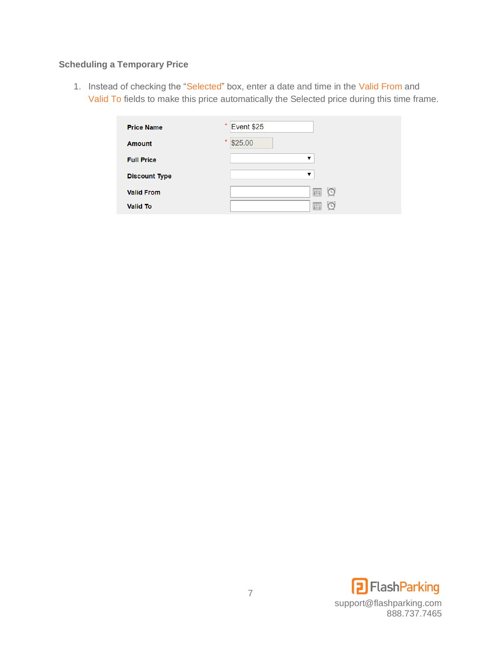#### **Scheduling a Temporary Price**

1. Instead of checking the "Selected" box, enter a date and time in the Valid From and Valid To fields to make this price automatically the Selected price during this time frame.

| <b>Price Name</b>    | *<br>Event \$25 |
|----------------------|-----------------|
| <b>Amount</b>        | *<br>\$25.00    |
| <b>Full Price</b>    | ▼               |
| <b>Discount Type</b> | ▼               |
| <b>Valid From</b>    | 圃               |
| <b>Valid To</b>      | 囲               |

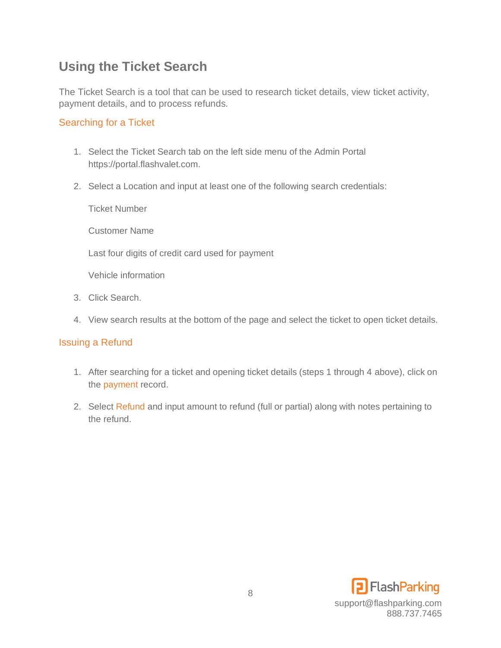## <span id="page-7-0"></span>**Using the Ticket Search**

The Ticket Search is a tool that can be used to research ticket details, view ticket activity, payment details, and to process refunds.

#### <span id="page-7-1"></span>Searching for a Ticket

- 1. Select the Ticket Search tab on the left side menu of the Admin Portal https://portal.flashvalet.com.
- 2. Select a Location and input at least one of the following search credentials:

Ticket Number

Customer Name

Last four digits of credit card used for payment

Vehicle information

- 3. Click Search.
- 4. View search results at the bottom of the page and select the ticket to open ticket details.

#### <span id="page-7-2"></span>Issuing a Refund

- 1. After searching for a ticket and opening ticket details (steps 1 through 4 above), click on the payment record.
- 2. Select Refund and input amount to refund (full or partial) along with notes pertaining to the refund.

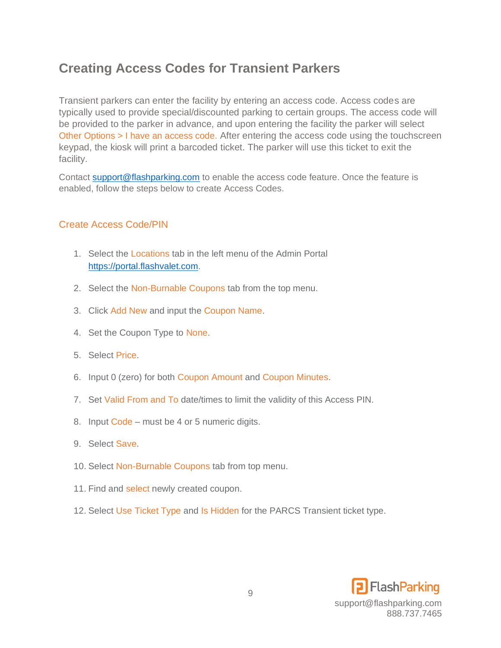## <span id="page-8-0"></span>**Creating Access Codes for Transient Parkers**

Transient parkers can enter the facility by entering an access code. Access codes are typically used to provide special/discounted parking to certain groups. The access code will be provided to the parker in advance, and upon entering the facility the parker will select Other Options > I have an access code. After entering the access code using the touchscreen keypad, the kiosk will print a barcoded ticket. The parker will use this ticket to exit the facility.

Contact [support@flashparking.com](mailto:support@flashparking.com) to enable the access code feature. Once the feature is enabled, follow the steps below to create Access Codes.

#### <span id="page-8-1"></span>Create Access Code/PIN

- 1. Select the Locations tab in the left menu of the Admin Portal [https://portal.flashvalet.com.](https://portal.flashvalet.com/)
- 2. Select the Non-Burnable Coupons tab from the top menu.
- 3. Click Add New and input the Coupon Name.
- 4. Set the Coupon Type to None.
- 5. Select Price.
- 6. Input 0 (zero) for both Coupon Amount and Coupon Minutes.
- 7. Set Valid From and To date/times to limit the validity of this Access PIN.
- 8. Input Code must be 4 or 5 numeric digits.
- 9. Select Save.
- 10. Select Non-Burnable Coupons tab from top menu.
- 11. Find and select newly created coupon.
- 12. Select Use Ticket Type and Is Hidden for the PARCS Transient ticket type.

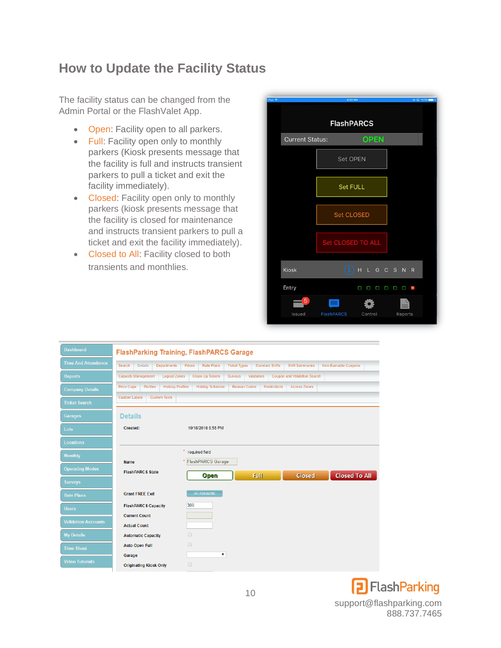## <span id="page-9-0"></span>**How to Update the Facility Status**

The facility status can be changed from the Admin Portal or the FlashValet App.

- Open: Facility open to all parkers.
- Full: Facility open only to monthly parkers (Kiosk presents message that the facility is full and instructs transient parkers to pull a ticket and exit the facility immediately).
- Closed: Facility open only to monthly parkers (kiosk presents message that the facility is closed for maintenance and instructs transient parkers to pull a ticket and exit the facility immediately).
- Closed to All: Facility closed to both transients and monthlies.

| iPad 全 |                        | 4:53 PM           |               |             | ● 国 100%■→ |
|--------|------------------------|-------------------|---------------|-------------|------------|
|        |                        | <b>FlashPARCS</b> |               |             |            |
|        | <b>Current Status:</b> |                   | <b>OPEN</b>   |             |            |
|        |                        | <b>Set OPEN</b>   |               |             |            |
|        |                        | Set FULL          |               |             |            |
|        |                        | <b>Set CLOSED</b> |               |             |            |
|        |                        | Set CLOSED TO ALL |               |             |            |
|        | <b>Kiosk</b>           |                   | H L G C S N R |             |            |
|        | Entry                  | Ω                 | п<br>Ο<br>ο   | О<br>п<br>٠ |            |
|        | 5<br>Issued            | <b>FlashPARCS</b> | Control       | Reports     |            |



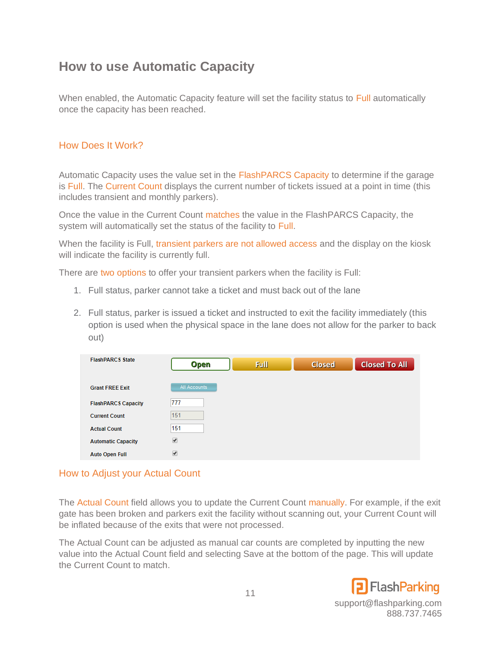## <span id="page-10-0"></span>**How to use Automatic Capacity**

When enabled, the Automatic Capacity feature will set the facility status to Full automatically once the capacity has been reached.

#### <span id="page-10-1"></span>How Does It Work?

Automatic Capacity uses the value set in the FlashPARCS Capacity to determine if the garage is Full. The Current Count displays the current number of tickets issued at a point in time (this includes transient and monthly parkers).

Once the value in the Current Count matches the value in the FlashPARCS Capacity, the system will automatically set the status of the facility to Full.

When the facility is Full, transient parkers are not allowed access and the display on the kiosk will indicate the facility is currently full.

There are two options to offer your transient parkers when the facility is Full:

- 1. Full status, parker cannot take a ticket and must back out of the lane
- 2. Full status, parker is issued a ticket and instructed to exit the facility immediately (this option is used when the physical space in the lane does not allow for the parker to back out)

| <b>FlashPARCS State</b>    | <b>Open</b>           | Full | <b>Closed</b> | <b>Closed To All</b> |
|----------------------------|-----------------------|------|---------------|----------------------|
| <b>Grant FREE Exit</b>     | All Accounts          |      |               |                      |
| <b>FlashPARCS Capacity</b> | 777                   |      |               |                      |
| <b>Current Count</b>       | 151                   |      |               |                      |
| <b>Actual Count</b>        | 151                   |      |               |                      |
| <b>Automatic Capacity</b>  | $\blacktriangledown$  |      |               |                      |
| <b>Auto Open Full</b>      | $\blacktriangleright$ |      |               |                      |

#### <span id="page-10-2"></span>How to Adjust your Actual Count

The Actual Count field allows you to update the Current Count manually. For example, if the exit gate has been broken and parkers exit the facility without scanning out, your Current Count will be inflated because of the exits that were not processed.

The Actual Count can be adjusted as manual car counts are completed by inputting the new value into the Actual Count field and selecting Save at the bottom of the page. This will update the Current Count to match.

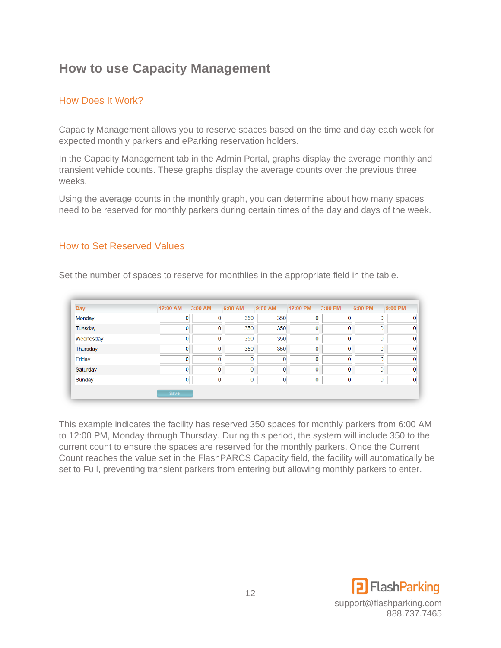## <span id="page-11-0"></span>**How to use Capacity Management**

#### <span id="page-11-1"></span>How Does It Work?

Capacity Management allows you to reserve spaces based on the time and day each week for expected monthly parkers and eParking reservation holders.

In the Capacity Management tab in the Admin Portal, graphs display the average monthly and transient vehicle counts. These graphs display the average counts over the previous three weeks.

Using the average counts in the monthly graph, you can determine about how many spaces need to be reserved for monthly parkers during certain times of the day and days of the week.

#### <span id="page-11-2"></span>How to Set Reserved Values

| Day       | 12:00 AM | 3:00 AM        | 6:00 AM        | 9:00 AM        | 12:00 PM | 3:00 PM        | 6:00 PM      | 9:00 PM |
|-----------|----------|----------------|----------------|----------------|----------|----------------|--------------|---------|
| Monday    |          | $\mathbf{0}$   | 350            | 350            | 0        | 0              | $\mathbf{0}$ |         |
| Tuesday   | 0        | $\mathbf{0}$   | 350            | 350            | 0        | $\Omega$       | $\mathbf{0}$ |         |
| Wednesday | 0        | $\mathbf{0}$   | 350            | 350            | 0        | $\overline{0}$ | $\mathbf{0}$ |         |
| Thursday  | 0        | $\mathbf{0}$   | 350            | 350            | 0        | $\overline{0}$ | $\mathbf{0}$ |         |
| Friday    |          | $\overline{0}$ | $\Omega$       | $\mathbf{0}$   | 0        | $\Omega$       | $\Omega$     |         |
| Saturday  | $\Omega$ | $\mathbf{0}$   | $\overline{0}$ | $\overline{0}$ | 0        | $\overline{0}$ | $\mathbf{0}$ |         |
| Sunday    |          | $\overline{0}$ | $\Omega$       | $\mathbf{0}$   | 0        | $\overline{0}$ | $\Omega$     |         |

Set the number of spaces to reserve for monthlies in the appropriate field in the table.

This example indicates the facility has reserved 350 spaces for monthly parkers from 6:00 AM to 12:00 PM, Monday through Thursday. During this period, the system will include 350 to the current count to ensure the spaces are reserved for the monthly parkers. Once the Current Count reaches the value set in the FlashPARCS Capacity field, the facility will automatically be set to Full, preventing transient parkers from entering but allowing monthly parkers to enter.

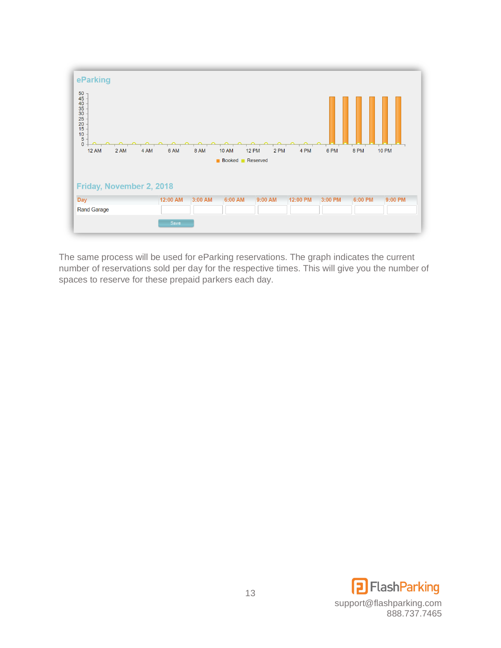

The same process will be used for eParking reservations. The graph indicates the current number of reservations sold per day for the respective times. This will give you the number of spaces to reserve for these prepaid parkers each day.

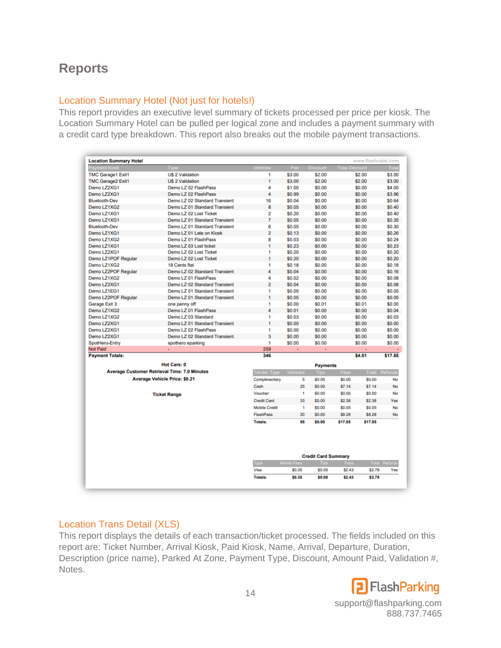## <span id="page-13-0"></span>**Reports**

#### <span id="page-13-1"></span>Location Summary Hotel (Not just for hotels!)

This report provides an executive level summary of tickets processed per price per kiosk. The Location Summary Hotel can be pulled per logical zone and includes a payment summary with a credit card type breakdown. This report also breaks out the mobile payment transactions.

| Type<br><b>US 2 Validation</b><br><b>US 2 Validation</b><br>Demo LZ 02 FlashPass<br>Demo LZ 02 FlashPass<br>Demo LZ 02 Standard Transient<br>Demo LZ 01 Standard Transient<br>Demo LZ 02 Lost Ticket<br>Demo LZ 01 Standard Transient<br>Demo LZ 01 Standard Transient<br>Demo LZ 01 Late on Kiosk<br>Demo LZ 01 FlashPass<br>Demo LZ 03 Lost ticket | Vehicles<br>1<br>1<br>4<br>4<br>16<br>8<br>$\overline{a}$<br>$\overline{7}$<br>6<br>$\overline{a}$                | Fee<br>\$3.00<br>\$3.00<br>\$1.00<br>\$0.99<br>\$0.04<br>\$0.05<br>\$0.20<br>\$0.05<br>\$0.05 | <b>Discount</b><br>\$2.00<br>\$2.00<br>\$0.00<br>\$0.00<br>\$0.00<br>\$0.00<br>\$0.00<br>\$0.00<br>\$0.00 | <b>Total Discount</b>           | \$2.00<br>\$2.00<br>\$0.00<br>\$0.00<br>\$0.00<br>\$0.00<br>\$0.00<br>\$0.00 | Total<br>\$3.00<br>\$3.00<br>\$4.00<br>\$3.96<br>\$0.64<br>\$0.40<br>\$0.40                                                                                                                                          |
|------------------------------------------------------------------------------------------------------------------------------------------------------------------------------------------------------------------------------------------------------------------------------------------------------------------------------------------------------|-------------------------------------------------------------------------------------------------------------------|-----------------------------------------------------------------------------------------------|-----------------------------------------------------------------------------------------------------------|---------------------------------|------------------------------------------------------------------------------|----------------------------------------------------------------------------------------------------------------------------------------------------------------------------------------------------------------------|
|                                                                                                                                                                                                                                                                                                                                                      |                                                                                                                   |                                                                                               |                                                                                                           |                                 |                                                                              |                                                                                                                                                                                                                      |
|                                                                                                                                                                                                                                                                                                                                                      |                                                                                                                   |                                                                                               |                                                                                                           |                                 |                                                                              |                                                                                                                                                                                                                      |
|                                                                                                                                                                                                                                                                                                                                                      |                                                                                                                   |                                                                                               |                                                                                                           |                                 |                                                                              |                                                                                                                                                                                                                      |
|                                                                                                                                                                                                                                                                                                                                                      |                                                                                                                   |                                                                                               |                                                                                                           |                                 |                                                                              |                                                                                                                                                                                                                      |
|                                                                                                                                                                                                                                                                                                                                                      |                                                                                                                   |                                                                                               |                                                                                                           |                                 |                                                                              |                                                                                                                                                                                                                      |
|                                                                                                                                                                                                                                                                                                                                                      |                                                                                                                   |                                                                                               |                                                                                                           |                                 |                                                                              |                                                                                                                                                                                                                      |
|                                                                                                                                                                                                                                                                                                                                                      |                                                                                                                   |                                                                                               |                                                                                                           |                                 |                                                                              |                                                                                                                                                                                                                      |
|                                                                                                                                                                                                                                                                                                                                                      |                                                                                                                   |                                                                                               |                                                                                                           |                                 |                                                                              |                                                                                                                                                                                                                      |
|                                                                                                                                                                                                                                                                                                                                                      |                                                                                                                   |                                                                                               |                                                                                                           |                                 |                                                                              | \$0.35                                                                                                                                                                                                               |
|                                                                                                                                                                                                                                                                                                                                                      |                                                                                                                   |                                                                                               |                                                                                                           |                                 | \$0.00                                                                       | \$0.30                                                                                                                                                                                                               |
|                                                                                                                                                                                                                                                                                                                                                      |                                                                                                                   | \$0.13                                                                                        | \$0.00                                                                                                    |                                 | \$0.00                                                                       | \$0.26                                                                                                                                                                                                               |
|                                                                                                                                                                                                                                                                                                                                                      | 8                                                                                                                 | \$0.03                                                                                        | \$0.00                                                                                                    |                                 | \$0.00                                                                       | \$0.24                                                                                                                                                                                                               |
|                                                                                                                                                                                                                                                                                                                                                      | 1                                                                                                                 | \$0.23                                                                                        | \$0.00                                                                                                    |                                 | \$0.00                                                                       | \$0.23                                                                                                                                                                                                               |
| Demo LZ 02 Lost Ticket                                                                                                                                                                                                                                                                                                                               | 1                                                                                                                 | \$0.20                                                                                        | \$0.00                                                                                                    |                                 | \$0.00                                                                       | \$0.20                                                                                                                                                                                                               |
| Demo LZ 02 Lost Ticket                                                                                                                                                                                                                                                                                                                               | 1                                                                                                                 | \$0.20                                                                                        | \$0.00                                                                                                    |                                 | \$0.00                                                                       | \$0.20                                                                                                                                                                                                               |
| 18 Cents flat                                                                                                                                                                                                                                                                                                                                        | 1                                                                                                                 | \$0.18                                                                                        | \$0.00                                                                                                    |                                 |                                                                              | \$0.18                                                                                                                                                                                                               |
| Demo LZ 02 Standard Transient                                                                                                                                                                                                                                                                                                                        | 4                                                                                                                 | \$0.04                                                                                        | \$0.00                                                                                                    |                                 |                                                                              | \$0.16                                                                                                                                                                                                               |
| Demo LZ 01 FlashPass                                                                                                                                                                                                                                                                                                                                 | 4                                                                                                                 | \$0.02                                                                                        | \$0.00                                                                                                    |                                 |                                                                              | \$0.08                                                                                                                                                                                                               |
| Demo LZ 02 Standard Transient                                                                                                                                                                                                                                                                                                                        | $\overline{a}$                                                                                                    | \$0.04                                                                                        | \$0.00                                                                                                    |                                 |                                                                              | \$0.08                                                                                                                                                                                                               |
| Demo LZ 01 Standard Transient                                                                                                                                                                                                                                                                                                                        | 1                                                                                                                 | \$0.05                                                                                        | \$0.00                                                                                                    |                                 |                                                                              | \$0.05                                                                                                                                                                                                               |
| Demo LZ 01 Standard Transient                                                                                                                                                                                                                                                                                                                        | 1                                                                                                                 | \$0.05                                                                                        | \$0.00                                                                                                    |                                 |                                                                              | \$0.05                                                                                                                                                                                                               |
| one penny off                                                                                                                                                                                                                                                                                                                                        | 1                                                                                                                 | \$0.00                                                                                        | \$0.01                                                                                                    |                                 |                                                                              | \$0.00                                                                                                                                                                                                               |
| Demo LZ 01 FlashPass                                                                                                                                                                                                                                                                                                                                 | 4                                                                                                                 | \$0.01                                                                                        | \$0.00                                                                                                    |                                 |                                                                              | \$0.04                                                                                                                                                                                                               |
| Demo LZ 03 Standard                                                                                                                                                                                                                                                                                                                                  | 1                                                                                                                 | \$0.03                                                                                        | \$0.00                                                                                                    |                                 |                                                                              | \$0.03                                                                                                                                                                                                               |
| Demo LZ 01 Standard Transient                                                                                                                                                                                                                                                                                                                        | 1                                                                                                                 | \$0.00                                                                                        | \$0.00                                                                                                    |                                 |                                                                              | \$0.00                                                                                                                                                                                                               |
| Demo LZ 02 FlashPass                                                                                                                                                                                                                                                                                                                                 | 1                                                                                                                 | \$0.00                                                                                        | \$0.00                                                                                                    |                                 |                                                                              | \$0.00                                                                                                                                                                                                               |
| Demo LZ 02 Standard Transient                                                                                                                                                                                                                                                                                                                        | 3                                                                                                                 | \$0.00                                                                                        | \$0.00                                                                                                    |                                 |                                                                              | \$0.00                                                                                                                                                                                                               |
| spothero eparking                                                                                                                                                                                                                                                                                                                                    | 1                                                                                                                 | \$0.00                                                                                        | \$0.00                                                                                                    |                                 |                                                                              | \$0.00                                                                                                                                                                                                               |
| ٠                                                                                                                                                                                                                                                                                                                                                    | 259                                                                                                               | $\blacksquare$                                                                                | ä,                                                                                                        |                                 |                                                                              |                                                                                                                                                                                                                      |
|                                                                                                                                                                                                                                                                                                                                                      | 346                                                                                                               |                                                                                               |                                                                                                           |                                 |                                                                              | \$17.85                                                                                                                                                                                                              |
|                                                                                                                                                                                                                                                                                                                                                      |                                                                                                                   |                                                                                               |                                                                                                           |                                 |                                                                              |                                                                                                                                                                                                                      |
|                                                                                                                                                                                                                                                                                                                                                      |                                                                                                                   |                                                                                               |                                                                                                           |                                 |                                                                              |                                                                                                                                                                                                                      |
|                                                                                                                                                                                                                                                                                                                                                      |                                                                                                                   |                                                                                               |                                                                                                           |                                 |                                                                              |                                                                                                                                                                                                                      |
|                                                                                                                                                                                                                                                                                                                                                      |                                                                                                                   |                                                                                               |                                                                                                           |                                 |                                                                              | <b>No</b>                                                                                                                                                                                                            |
|                                                                                                                                                                                                                                                                                                                                                      |                                                                                                                   |                                                                                               |                                                                                                           |                                 |                                                                              | <b>No</b>                                                                                                                                                                                                            |
| <b>Ticket Range</b>                                                                                                                                                                                                                                                                                                                                  | Voucher                                                                                                           | 1                                                                                             | \$0.00                                                                                                    | \$0.00                          | \$0.00                                                                       | <b>No</b>                                                                                                                                                                                                            |
|                                                                                                                                                                                                                                                                                                                                                      | Credit Card                                                                                                       | 33                                                                                            | \$0.00                                                                                                    | \$2.38                          | \$2.38                                                                       | Yes                                                                                                                                                                                                                  |
|                                                                                                                                                                                                                                                                                                                                                      | <b>Mobile Credit</b>                                                                                              | 1                                                                                             | \$0.00                                                                                                    | \$0.05                          | \$0.05                                                                       | <b>No</b>                                                                                                                                                                                                            |
|                                                                                                                                                                                                                                                                                                                                                      | <b>FlashPass</b>                                                                                                  | 20                                                                                            | \$0.00                                                                                                    | \$8.28                          | \$8.28                                                                       | <b>No</b>                                                                                                                                                                                                            |
|                                                                                                                                                                                                                                                                                                                                                      | <b>Totals:</b>                                                                                                    | 85                                                                                            |                                                                                                           |                                 |                                                                              |                                                                                                                                                                                                                      |
|                                                                                                                                                                                                                                                                                                                                                      |                                                                                                                   |                                                                                               |                                                                                                           |                                 |                                                                              |                                                                                                                                                                                                                      |
|                                                                                                                                                                                                                                                                                                                                                      | <b>Hot Cars: 0</b><br><b>Average Customer Retrieval Time: 7.0 Minutes</b><br><b>Average Vehicle Price: \$0.21</b> | <b>Tender Type</b><br>Complimentary<br>Cash                                                   | Vehicles<br>5<br>25                                                                                       | <b>Tips</b><br>\$0.00<br>\$0.00 | <b>Payments</b><br>Fees<br>\$0.00<br>\$7.14                                  | \$0.00<br>\$0.00<br>\$0.00<br>\$0.00<br>\$0.00<br>\$0.00<br>\$0.01<br>\$0.00<br>\$0.00<br>\$0.00<br>\$0.00<br>\$0.00<br>\$0.00<br>\$4.01<br><b>Total Refunds</b><br>\$0.00<br>\$7.14<br>\$17.85<br>\$17.85<br>\$0.00 |

#### <span id="page-13-2"></span>Location Trans Detail (XLS)

This report displays the details of each transaction/ticket processed. The fields included on this report are: Ticket Number, Arrival Kiosk, Paid Kiosk, Name, Arrival, Departure, Duration, Description (price name), Parked At Zone, Payment Type, Discount, Amount Paid, Validation #, Notes.

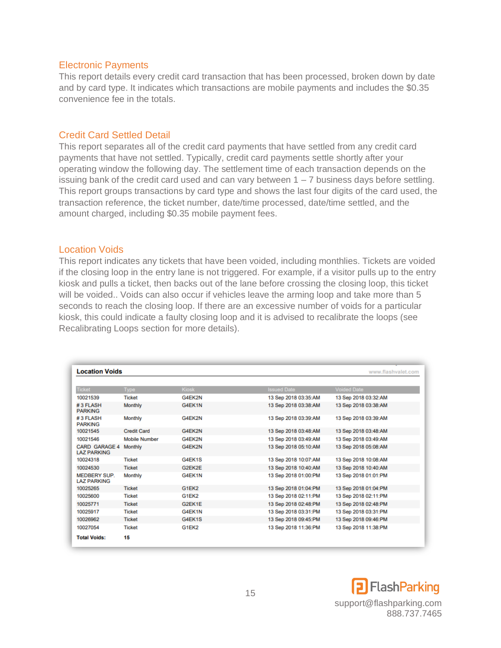#### <span id="page-14-0"></span>Electronic Payments

This report details every credit card transaction that has been processed, broken down by date and by card type. It indicates which transactions are mobile payments and includes the \$0.35 convenience fee in the totals.

#### <span id="page-14-1"></span>Credit Card Settled Detail

This report separates all of the credit card payments that have settled from any credit card payments that have not settled. Typically, credit card payments settle shortly after your operating window the following day. The settlement time of each transaction depends on the issuing bank of the credit card used and can vary between  $1 - 7$  business days before settling. This report groups transactions by card type and shows the last four digits of the card used, the transaction reference, the ticket number, date/time processed, date/time settled, and the amount charged, including \$0.35 mobile payment fees.

#### <span id="page-14-2"></span>Location Voids

This report indicates any tickets that have been voided, including monthlies. Tickets are voided if the closing loop in the entry lane is not triggered. For example, if a visitor pulls up to the entry kiosk and pulls a ticket, then backs out of the lane before crossing the closing loop, this ticket will be voided.. Voids can also occur if vehicles leave the arming loop and take more than 5 seconds to reach the closing loop. If there are an excessive number of voids for a particular kiosk, this could indicate a faulty closing loop and it is advised to recalibrate the loops (see Recalibrating Loops section for more details).

| <b>Location Voids</b>                      |                      |              |                      | www.flashvalet.com   |
|--------------------------------------------|----------------------|--------------|----------------------|----------------------|
|                                            |                      |              |                      |                      |
| <b>Ticket</b>                              | <b>Type</b>          | <b>Kiosk</b> | <b>Issued Date</b>   | <b>Voided Date</b>   |
| 10021539                                   | <b>Ticket</b>        | G4EK2N       | 13 Sep 2018 03:35:AM | 13 Sep 2018 03:32:AM |
| #3 FLASH<br><b>PARKING</b>                 | <b>Monthly</b>       | G4EK1N       | 13 Sep 2018 03:38:AM | 13 Sep 2018 03:38:AM |
| #3 FLASH<br><b>PARKING</b>                 | Monthly              | G4EK2N       | 13 Sep 2018 03:39:AM | 13 Sep 2018 03:39:AM |
| 10021545                                   | <b>Credit Card</b>   | G4EK2N       | 13 Sep 2018 03:48:AM | 13 Sep 2018 03:48:AM |
| 10021546                                   | <b>Mobile Number</b> | G4EK2N       | 13 Sep 2018 03:49:AM | 13 Sep 2018 03:49:AM |
| <b>CARD GARAGE 4</b><br><b>LAZ PARKING</b> | <b>Monthly</b>       | G4EK2N       | 13 Sep 2018 05:10:AM | 13 Sep 2018 05:08:AM |
| 10024318                                   | <b>Ticket</b>        | G4EK1S       | 13 Sep 2018 10:07:AM | 13 Sep 2018 10:08:AM |
| 10024530                                   | <b>Ticket</b>        | G2FK2E       | 13 Sep 2018 10:40:AM | 13 Sep 2018 10:40:AM |
| <b>MEDBERY SUP.</b><br><b>LAZ PARKING</b>  | Monthly              | G4EK1N       | 13 Sep 2018 01:00:PM | 13 Sep 2018 01:01:PM |
| 10025265                                   | <b>Ticket</b>        | G1EK2        | 13 Sep 2018 01:04:PM | 13 Sep 2018 01:04:PM |
| 10025600                                   | <b>Ticket</b>        | G1EK2        | 13 Sep 2018 02:11:PM | 13 Sep 2018 02:11:PM |
| 10025771                                   | <b>Ticket</b>        | G2EK1E       | 13 Sep 2018 02:48:PM | 13 Sep 2018 02:48:PM |
| 10025917                                   | <b>Ticket</b>        | G4EK1N       | 13 Sep 2018 03:31:PM | 13 Sep 2018 03:31:PM |
| 10026962                                   | <b>Ticket</b>        | G4EK1S       | 13 Sep 2018 09:45:PM | 13 Sep 2018 09:46:PM |
| 10027054                                   | <b>Ticket</b>        | G1EK2        | 13 Sep 2018 11:36:PM | 13 Sep 2018 11:38:PM |
| <b>Total Voids:</b>                        | 15                   |              |                      |                      |

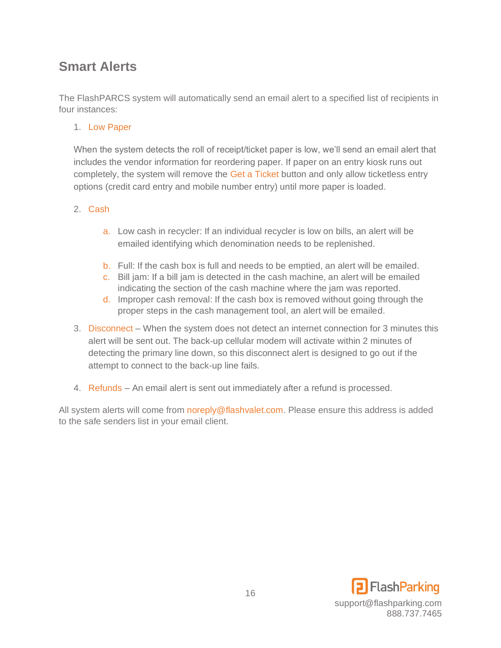## <span id="page-15-0"></span>**Smart Alerts**

The FlashPARCS system will automatically send an email alert to a specified list of recipients in four instances:

1. Low Paper

When the system detects the roll of receipt/ticket paper is low, we'll send an email alert that includes the vendor information for reordering paper. If paper on an entry kiosk runs out completely, the system will remove the Get a Ticket button and only allow ticketless entry options (credit card entry and mobile number entry) until more paper is loaded.

#### 2. Cash

- a. Low cash in recycler: If an individual recycler is low on bills, an alert will be emailed identifying which denomination needs to be replenished.
- b. Full: If the cash box is full and needs to be emptied, an alert will be emailed.
- c. Bill jam: If a bill jam is detected in the cash machine, an alert will be emailed indicating the section of the cash machine where the jam was reported.
- d. Improper cash removal: If the cash box is removed without going through the proper steps in the cash management tool, an alert will be emailed.
- 3. Disconnect When the system does not detect an internet connection for 3 minutes this alert will be sent out. The back-up cellular modem will activate within 2 minutes of detecting the primary line down, so this disconnect alert is designed to go out if the attempt to connect to the back-up line fails.
- 4. Refunds An email alert is sent out immediately after a refund is processed.

All system alerts will come from noreply@flashvalet.com. Please ensure this address is added to the safe senders list in your email client.

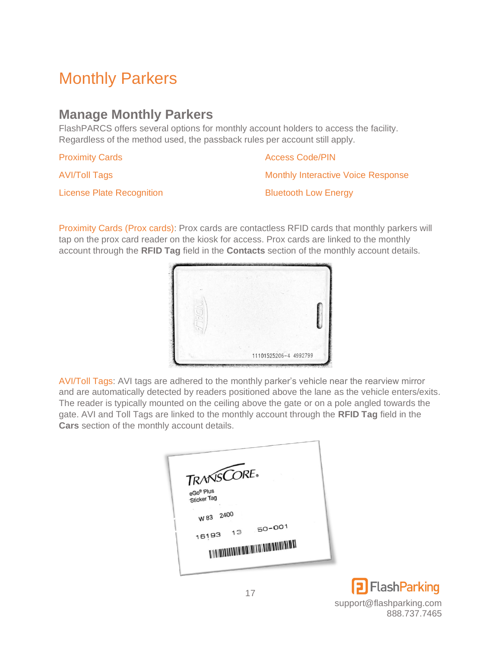# <span id="page-16-0"></span>Monthly Parkers

## <span id="page-16-1"></span>**Manage Monthly Parkers**

FlashPARCS offers several options for monthly account holders to access the facility. Regardless of the method used, the passback rules per account still apply.

Proximity Cards

Access Code/PIN

AVI/Toll Tags

License Plate Recognition

Bluetooth Low Energy

Monthly Interactive Voice Response

Proximity Cards (Prox cards): Prox cards are contactless RFID cards that monthly parkers will tap on the prox card reader on the kiosk for access. Prox cards are linked to the monthly account through the **RFID Tag** field in the **Contacts** section of the monthly account details.



AVI/Toll Tags: AVI tags are adhered to the monthly parker's vehicle near the rearview mirror and are automatically detected by readers positioned above the lane as the vehicle enters/exits. The reader is typically mounted on the ceiling above the gate or on a pole angled towards the gate. AVI and Toll Tags are linked to the monthly account through the **RFID Tag** field in the **Cars** section of the monthly account details.

| eGo® Plus<br>Sticker Tag |                                                                                    |
|--------------------------|------------------------------------------------------------------------------------|
|                          |                                                                                    |
| $50 - 001$<br>13         |                                                                                    |
|                          |                                                                                    |
|                          | TRANSCORE.<br>W 83 2400<br>16193<br><b>DAN MATATARAN MATATARAN MATATARAN DI MA</b> |

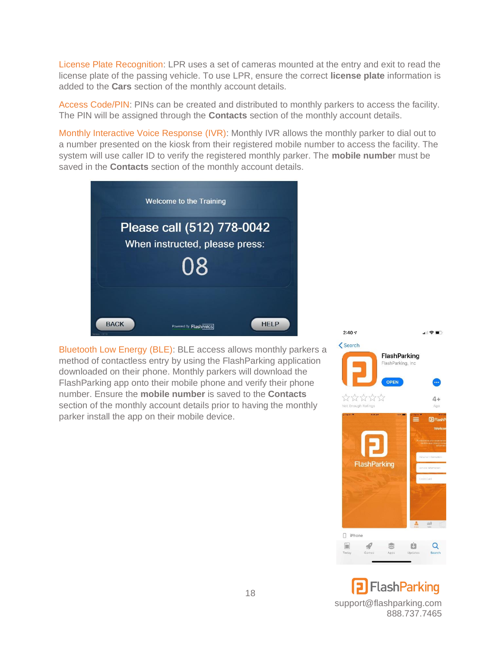License Plate Recognition: LPR uses a set of cameras mounted at the entry and exit to read the license plate of the passing vehicle. To use LPR, ensure the correct **license plate** information is added to the **Cars** section of the monthly account details.

Access Code/PIN: PINs can be created and distributed to monthly parkers to access the facility. The PIN will be assigned through the **Contacts** section of the monthly account details.

Monthly Interactive Voice Response (IVR): Monthly IVR allows the monthly parker to dial out to a number presented on the kiosk from their registered mobile number to access the facility. The system will use caller ID to verify the registered monthly parker. The **mobile numbe**r must be saved in the **Contacts** section of the monthly account details.



Bluetooth Low Energy (BLE): BLE access allows monthly parkers a method of contactless entry by using the FlashParking application downloaded on their phone. Monthly parkers will download the FlashParking app onto their mobile phone and verify their phone number. Ensure the **mobile number** is saved to the **Contacts** section of the monthly account details prior to having the monthly parker install the app on their mobile device.



**FlashParking** support@flashparking.com 888.737.7465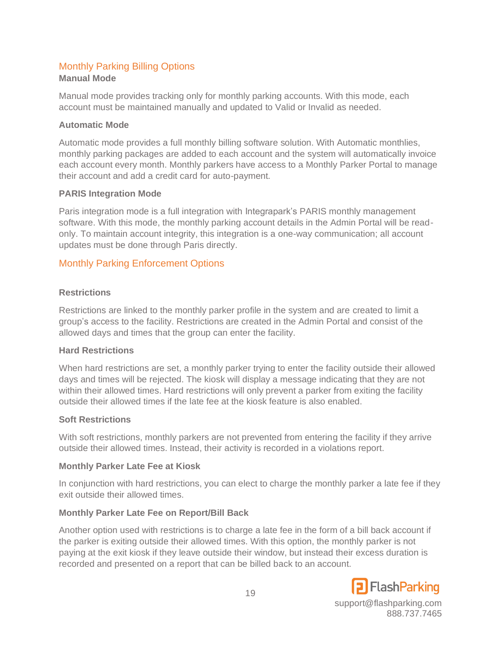#### <span id="page-18-0"></span>Monthly Parking Billing Options **Manual Mode**

Manual mode provides tracking only for monthly parking accounts. With this mode, each account must be maintained manually and updated to Valid or Invalid as needed.

#### **Automatic Mode**

Automatic mode provides a full monthly billing software solution. With Automatic monthlies, monthly parking packages are added to each account and the system will automatically invoice each account every month. Monthly parkers have access to a Monthly Parker Portal to manage their account and add a credit card for auto-payment.

#### **PARIS Integration Mode**

Paris integration mode is a full integration with Integrapark's PARIS monthly management software. With this mode, the monthly parking account details in the Admin Portal will be readonly. To maintain account integrity, this integration is a one-way communication; all account updates must be done through Paris directly.

#### <span id="page-18-1"></span>Monthly Parking Enforcement Options

#### **Restrictions**

Restrictions are linked to the monthly parker profile in the system and are created to limit a group's access to the facility. Restrictions are created in the Admin Portal and consist of the allowed days and times that the group can enter the facility.

#### **Hard Restrictions**

When hard restrictions are set, a monthly parker trying to enter the facility outside their allowed days and times will be rejected. The kiosk will display a message indicating that they are not within their allowed times. Hard restrictions will only prevent a parker from exiting the facility outside their allowed times if the late fee at the kiosk feature is also enabled.

#### **Soft Restrictions**

With soft restrictions, monthly parkers are not prevented from entering the facility if they arrive outside their allowed times. Instead, their activity is recorded in a violations report.

#### **Monthly Parker Late Fee at Kiosk**

In conjunction with hard restrictions, you can elect to charge the monthly parker a late fee if they exit outside their allowed times.

#### **Monthly Parker Late Fee on Report/Bill Back**

Another option used with restrictions is to charge a late fee in the form of a bill back account if the parker is exiting outside their allowed times. With this option, the monthly parker is not paying at the exit kiosk if they leave outside their window, but instead their excess duration is recorded and presented on a report that can be billed back to an account.

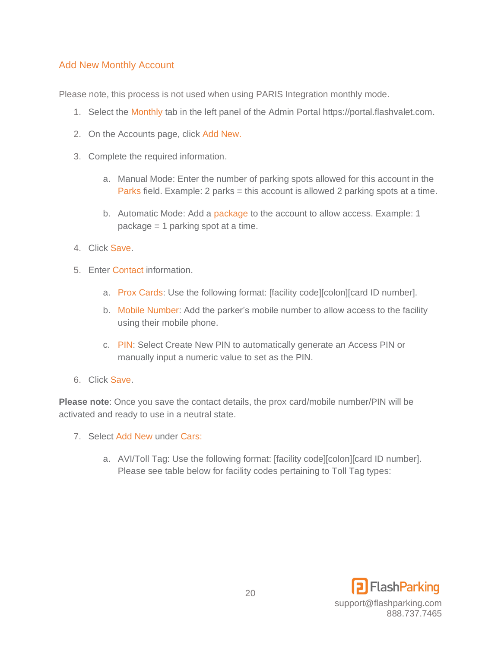#### <span id="page-19-0"></span>Add New Monthly Account

Please note, this process is not used when using PARIS Integration monthly mode.

- 1. Select the Monthly tab in the left panel of the Admin Portal [https://portal.flashvalet.com.](https://portal.flashvalet.com/)
- 2. On the Accounts page, click Add New.
- 3. Complete the required information.
	- a. Manual Mode: Enter the number of parking spots allowed for this account in the Parks field. Example: 2 parks = this account is allowed 2 parking spots at a time.
	- b. Automatic Mode: Add a package to the account to allow access. Example: 1 package = 1 parking spot at a time.
- 4. Click Save.
- 5. Enter Contact information.
	- a. Prox Cards: Use the following format: [facility code][colon][card ID number].
	- b. Mobile Number: Add the parker's mobile number to allow access to the facility using their mobile phone.
	- c. PIN: Select Create New PIN to automatically generate an Access PIN or manually input a numeric value to set as the PIN.
- 6. Click Save.

**Please note**: Once you save the contact details, the prox card/mobile number/PIN will be activated and ready to use in a neutral state.

- 7. Select Add New under Cars:
	- a. AVI/Toll Tag: Use the following format: [facility code][colon][card ID number]. Please see table below for facility codes pertaining to Toll Tag types:

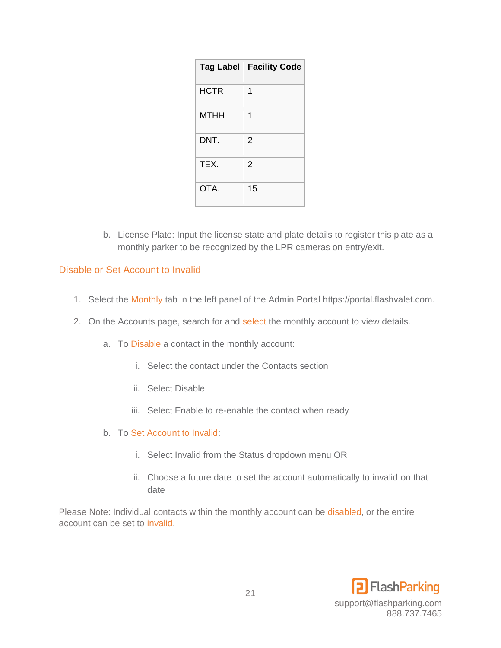| <b>Tag Label</b> | <b>Facility Code</b> |
|------------------|----------------------|
| <b>HCTR</b>      | 1                    |
| <b>MTHH</b>      | 1                    |
| DNT.             | 2                    |
| TEX.             | $\overline{2}$       |
| OTA.             | 15                   |

b. License Plate: Input the license state and plate details to register this plate as a monthly parker to be recognized by the LPR cameras on entry/exit.

#### <span id="page-20-0"></span>Disable or Set Account to Invalid

- 1. Select the Monthly tab in the left panel of the Admin Portal [https://portal.flashvalet.com.](https://portal.flashvalet.com/)
- 2. On the Accounts page, search for and select the monthly account to view details.
	- a. To Disable a contact in the monthly account:
		- i. Select the contact under the Contacts section
		- ii. Select Disable
		- iii. Select Enable to re-enable the contact when ready
	- b. To Set Account to Invalid:
		- i. Select Invalid from the Status dropdown menu OR
		- ii. Choose a future date to set the account automatically to invalid on that date

Please Note: Individual contacts within the monthly account can be disabled, or the entire account can be set to invalid.

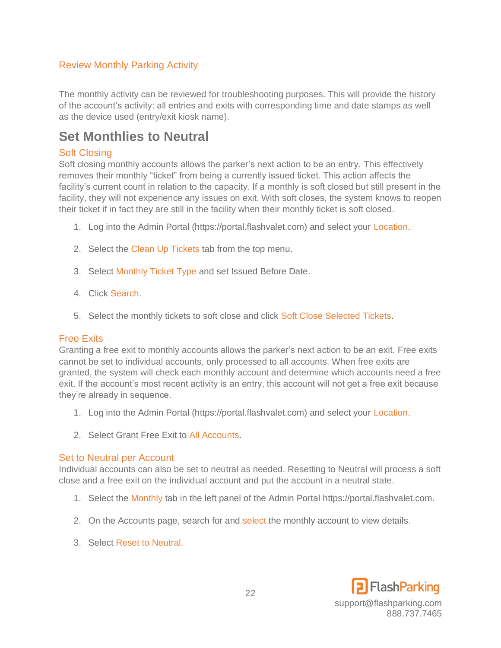#### <span id="page-21-0"></span>Review Monthly Parking Activity

The monthly activity can be reviewed for troubleshooting purposes. This will provide the history of the account's activity: all entries and exits with corresponding time and date stamps as well as the device used (entry/exit kiosk name).

## <span id="page-21-1"></span>**Set Monthlies to Neutral**

#### <span id="page-21-2"></span>Soft Closing

Soft closing monthly accounts allows the parker's next action to be an entry. This effectively removes their monthly "ticket" from being a currently issued ticket. This action affects the facility's current count in relation to the capacity. If a monthly is soft closed but still present in the facility, they will not experience any issues on exit. With soft closes, the system knows to reopen their ticket if in fact they are still in the facility when their monthly ticket is soft closed.

- 1. Log into the Admin Portal (https://portal.flashvalet.com) and select your Location.
- 2. Select the Clean Up Tickets tab from the top menu.
- 3. 3. Select Monthly Ticket Type and set Issued Before Date.
- 4. Click Search.
- 5. 5. Select the monthly tickets to soft close and click Soft Close Selected Tickets.

#### <span id="page-21-3"></span>Free Exits

Granting a free exit to monthly accounts allows the parker's next action to be an exit. Free exits cannot be set to individual accounts, only processed to all accounts. When free exits are granted, the system will check each monthly account and determine which accounts need a free exit. If the account's most recent activity is an entry, this account will not get a free exit because they're already in sequence.

- 1. Log into the Admin Portal (https://portal.flashvalet.com) and select your Location.
- 2. Select Grant Free Exit to All Accounts.

#### <span id="page-21-4"></span>Set to Neutral per Account

Individual accounts can also be set to neutral as needed. Resetting to Neutral will process a soft close and a free exit on the individual account and put the account in a neutral state.

- 1. Select the Monthly tab in the left panel of the Admin Portal [https://portal.flashvalet.com.](https://portal.flashvalet.com/)
- 2. On the Accounts page, search for and select the monthly account to view details.
- 3. Select Reset to Neutral.

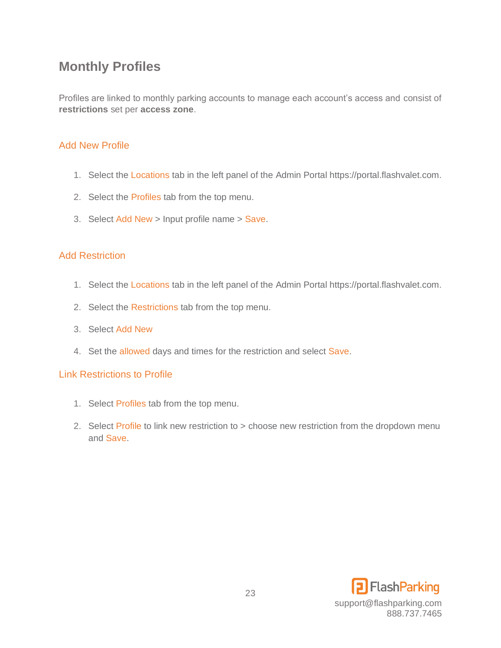## <span id="page-22-0"></span>**Monthly Profiles**

Profiles are linked to monthly parking accounts to manage each account's access and consist of **restrictions** set per **access zone**.

#### <span id="page-22-1"></span>Add New Profile

- 1. Select the Locations tab in the left panel of the Admin Porta[l https://portal.flashvalet.com.](https://portal.flashvalet.com/)
- 2. Select the Profiles tab from the top menu.
- 3. Select Add New > Input profile name > Save.

#### <span id="page-22-2"></span>Add Restriction

- 1. Select the Locations tab in the left panel of the Admin Porta[l https://portal.flashvalet.com.](https://portal.flashvalet.com/)
- 2. Select the Restrictions tab from the top menu.
- 3. Select Add New
- 4. Set the allowed days and times for the restriction and select Save.

#### <span id="page-22-3"></span>Link Restrictions to Profile

- 1. Select Profiles tab from the top menu.
- 2. Select Profile to link new restriction to > choose new restriction from the dropdown menu and Save.

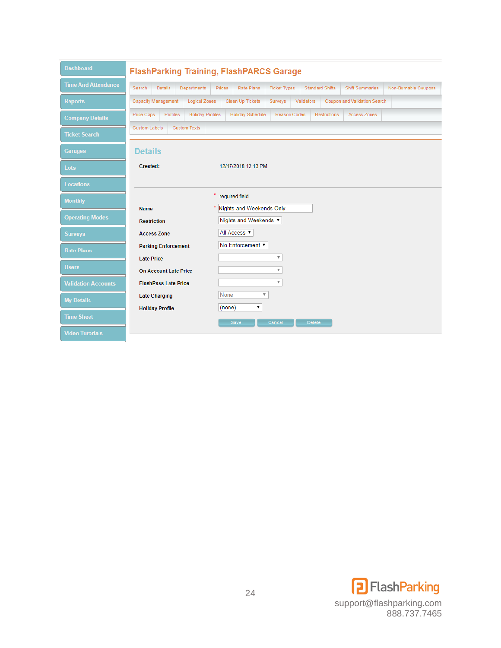| <b>Dashboard</b>           | <b>FlashParking Training, FlashPARCS Garage</b>                 |                                                   |                                                    |                        |                     |                              |                      |
|----------------------------|-----------------------------------------------------------------|---------------------------------------------------|----------------------------------------------------|------------------------|---------------------|------------------------------|----------------------|
| <b>Time And Attendance</b> | Search<br><b>Details</b><br><b>Departments</b>                  | Prices<br><b>Rate Plans</b>                       | <b>Ticket Types</b>                                | <b>Standard Shifts</b> |                     | <b>Shift Summaries</b>       | Non-Burnable Coupons |
| <b>Reports</b>             | <b>Capacity Management</b><br><b>Logical Zones</b>              | Clean Up Tickets                                  | Surveys                                            | Validators             |                     | Coupon and Validation Search |                      |
| <b>Company Details</b>     | <b>Profiles</b><br><b>Holiday Profiles</b><br><b>Price Caps</b> | <b>Holiday Schedule</b>                           | <b>Reason Codes</b>                                |                        | <b>Restrictions</b> | <b>Access Zones</b>          |                      |
| <b>Ticket Search</b>       | <b>Custom Labels</b><br><b>Custom Texts</b>                     |                                                   |                                                    |                        |                     |                              |                      |
| <b>Garages</b>             | <b>Details</b>                                                  |                                                   |                                                    |                        |                     |                              |                      |
| Lots                       | Created:                                                        | 12/17/2018 12:13 PM                               |                                                    |                        |                     |                              |                      |
| <b>Locations</b>           |                                                                 |                                                   |                                                    |                        |                     |                              |                      |
| <b>Monthly</b>             |                                                                 | required field<br>×                               |                                                    |                        |                     |                              |                      |
| <b>Operating Modes</b>     | <b>Name</b><br><b>Restriction</b>                               | Nights and Weekends Only<br>Nights and Weekends ▼ |                                                    |                        |                     |                              |                      |
| <b>Surveys</b>             | <b>Access Zone</b>                                              | All Access $\blacktriangledown$                   |                                                    |                        |                     |                              |                      |
| <b>Rate Plans</b>          | <b>Parking Enforcement</b>                                      | No Enforcement ▼                                  |                                                    |                        |                     |                              |                      |
| <b>Users</b>               | <b>Late Price</b><br><b>On Account Late Price</b>               |                                                   | $\overline{\mathbf{v}}$<br>$\overline{\mathbf{v}}$ |                        |                     |                              |                      |
| <b>Validation Accounts</b> | <b>FlashPass Late Price</b>                                     |                                                   | $\overline{\mathbf{v}}$                            |                        |                     |                              |                      |
| <b>My Details</b>          | <b>Late Charging</b>                                            | <b>None</b><br>$\overline{\mathbf{v}}$<br>۷.      |                                                    |                        |                     |                              |                      |
| <b>Time Sheet</b>          | <b>Holiday Profile</b>                                          | (none)<br><b>Save</b>                             | Cancel                                             | <b>Delete</b>          |                     |                              |                      |
| <b>Video Tutorials</b>     |                                                                 |                                                   |                                                    |                        |                     |                              |                      |

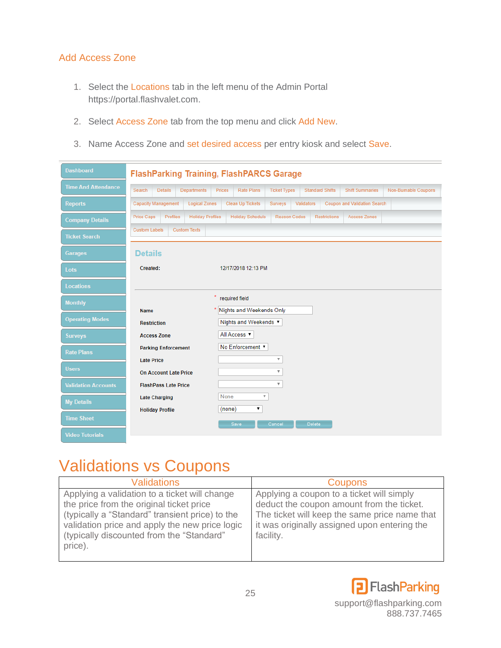#### <span id="page-24-0"></span>Add Access Zone

- 1. Select the Locations tab in the left menu of the Admin Portal [https://portal.flashvalet.com.](https://portal.flashvalet.com/)
- 2. Select Access Zone tab from the top menu and click Add New.
- 3. Name Access Zone and set desired access per entry kiosk and select Save.

| <b>Dashboard</b>           | <b>FlashParking Training, FlashPARCS Garage</b>          |                                    |                           |                        |                     |                              |                      |
|----------------------------|----------------------------------------------------------|------------------------------------|---------------------------|------------------------|---------------------|------------------------------|----------------------|
| <b>Time And Attendance</b> | Search<br><b>Details</b><br><b>Departments</b>           | <b>Rate Plans</b><br><b>Prices</b> | <b>Ticket Types</b>       | <b>Standard Shifts</b> |                     | <b>Shift Summaries</b>       | Non-Burnable Coupons |
| <b>Reports</b>             | <b>Capacity Management</b><br><b>Logical Zones</b>       | <b>Clean Up Tickets</b>            | <b>Surveys</b>            | Validators             |                     | Coupon and Validation Search |                      |
| <b>Company Details</b>     | Profiles<br><b>Holiday Profiles</b><br><b>Price Caps</b> | <b>Holiday Schedule</b>            | <b>Reason Codes</b>       |                        | <b>Restrictions</b> | <b>Access Zones</b>          |                      |
| <b>Ticket Search</b>       | <b>Custom Labels</b><br><b>Custom Texts</b>              |                                    |                           |                        |                     |                              |                      |
| <b>Garages</b>             | <b>Details</b>                                           |                                    |                           |                        |                     |                              |                      |
| Lots                       | Created:                                                 | 12/17/2018 12:13 PM                |                           |                        |                     |                              |                      |
| <b>Locations</b>           |                                                          |                                    |                           |                        |                     |                              |                      |
| <b>Monthly</b>             |                                                          | required field                     |                           |                        |                     |                              |                      |
| <b>Operating Modes</b>     | <b>Name</b>                                              | * Nights and Weekends Only         |                           |                        |                     |                              |                      |
|                            | <b>Restriction</b>                                       | Nights and Weekends ▼              |                           |                        |                     |                              |                      |
| <b>Surveys</b>             | <b>Access Zone</b>                                       | All Access ▼                       |                           |                        |                     |                              |                      |
| <b>Rate Plans</b>          | <b>Parking Enforcement</b>                               | No Enforcement ▼                   |                           |                        |                     |                              |                      |
|                            | <b>Late Price</b>                                        |                                    | $\boldsymbol{\mathrm{v}}$ |                        |                     |                              |                      |
| <b>Users</b>               | <b>On Account Late Price</b>                             |                                    | $\overline{\mathbf{v}}$   |                        |                     |                              |                      |
| <b>Validation Accounts</b> | <b>FlashPass Late Price</b>                              |                                    | $\overline{\mathbf{v}}$   |                        |                     |                              |                      |
| <b>My Details</b>          | <b>Late Charging</b>                                     | None<br>$\overline{\mathbf{v}}$    |                           |                        |                     |                              |                      |
|                            | <b>Holiday Profile</b>                                   | (none)<br>۷.                       |                           |                        |                     |                              |                      |
| <b>Time Sheet</b>          |                                                          | Save                               | Cancel                    | <b>Delete</b>          |                     |                              |                      |
| <b>Video Tutorials</b>     |                                                          |                                    |                           |                        |                     |                              |                      |

# <span id="page-24-1"></span>Validations vs Coupons

<span id="page-24-2"></span>

| <b>Validations</b>                                                                                                                                                                                                                                     | <b>Coupons</b>                                                                                                                                                                                       |
|--------------------------------------------------------------------------------------------------------------------------------------------------------------------------------------------------------------------------------------------------------|------------------------------------------------------------------------------------------------------------------------------------------------------------------------------------------------------|
| Applying a validation to a ticket will change<br>the price from the original ticket price<br>(typically a "Standard" transient price) to the<br>validation price and apply the new price logic<br>(typically discounted from the "Standard"<br>price). | Applying a coupon to a ticket will simply<br>deduct the coupon amount from the ticket.<br>The ticket will keep the same price name that<br>it was originally assigned upon entering the<br>facility. |

<span id="page-24-3"></span>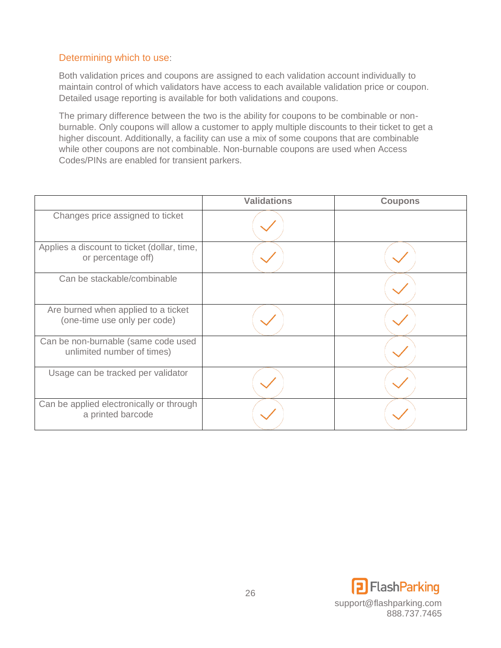#### <span id="page-25-0"></span>Determining which to use:

Both validation prices and coupons are assigned to each validation account individually to maintain control of which validators have access to each available validation price or coupon. Detailed usage reporting is available for both validations and coupons.

The primary difference between the two is the ability for coupons to be combinable or nonburnable. Only coupons will allow a customer to apply multiple discounts to their ticket to get a higher discount. Additionally, a facility can use a mix of some coupons that are combinable while other coupons are not combinable. Non-burnable coupons are used when Access Codes/PINs are enabled for transient parkers.

|                                                                     | <b>Validations</b> | <b>Coupons</b> |
|---------------------------------------------------------------------|--------------------|----------------|
| Changes price assigned to ticket                                    |                    |                |
| Applies a discount to ticket (dollar, time,<br>or percentage off)   |                    |                |
| Can be stackable/combinable                                         |                    |                |
| Are burned when applied to a ticket<br>(one-time use only per code) |                    |                |
| Can be non-burnable (same code used<br>unlimited number of times)   |                    |                |
| Usage can be tracked per validator                                  |                    |                |
| Can be applied electronically or through<br>a printed barcode       |                    |                |

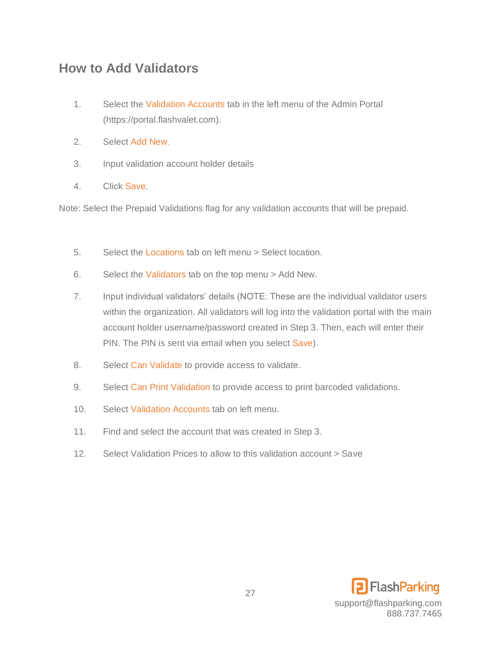## <span id="page-26-0"></span>**How to Add Validators**

- 1. Select the Validation Accounts tab in the left menu of the Admin Portal (https://portal.flashvalet.com).
- 2. Select Add New.
- 3. Input validation account holder details
- 4. Click Save.

Note: Select the Prepaid Validations flag for any validation accounts that will be prepaid.

- 5. Select the Locations tab on left menu > Select location.
- 6. Select the Validators tab on the top menu > Add New.
- 7. Input individual validators' details (NOTE: These are the individual validator users within the organization. All validators will log into the validation portal with the main account holder username/password created in Step 3. Then, each will enter their PIN. The PIN is sent via email when you select Save).
- 8. Select Can Validate to provide access to validate.
- 9. Select Can Print Validation to provide access to print barcoded validations.
- 10. Select Validation Accounts tab on left menu.
- 11. Find and select the account that was created in Step 3.
- 12. Select Validation Prices to allow to this validation account > Save

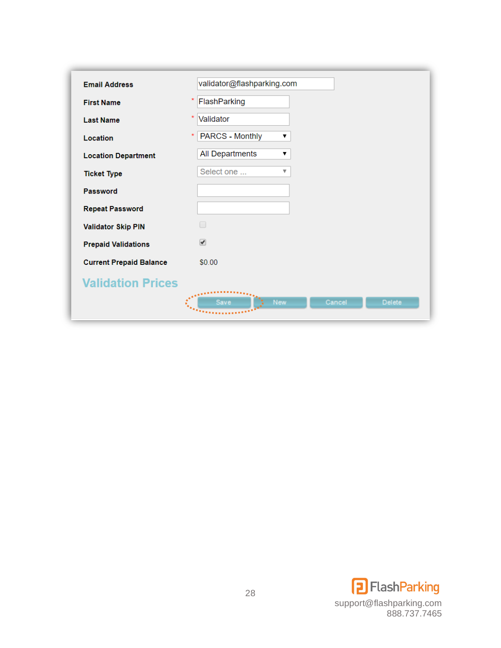| <b>Email Address</b>           | validator@flashparking.com                                              |
|--------------------------------|-------------------------------------------------------------------------|
| <b>First Name</b>              | FlashParking                                                            |
| <b>Last Name</b>               | ×<br>Validator                                                          |
| Location                       | <b>PARCS - Monthly</b><br>▼                                             |
| <b>Location Department</b>     | <b>All Departments</b><br>▼                                             |
| <b>Ticket Type</b>             | Select one<br>▼                                                         |
| <b>Password</b>                |                                                                         |
| <b>Repeat Password</b>         |                                                                         |
| <b>Validator Skip PIN</b>      |                                                                         |
| <b>Prepaid Validations</b>     | ✔                                                                       |
| <b>Current Prepaid Balance</b> | \$0.00                                                                  |
| <b>Validation Prices</b>       |                                                                         |
|                                | $\mathbf{A}^{\bullet}$<br><b>New</b><br>Cancel<br><b>Delete</b><br>Save |

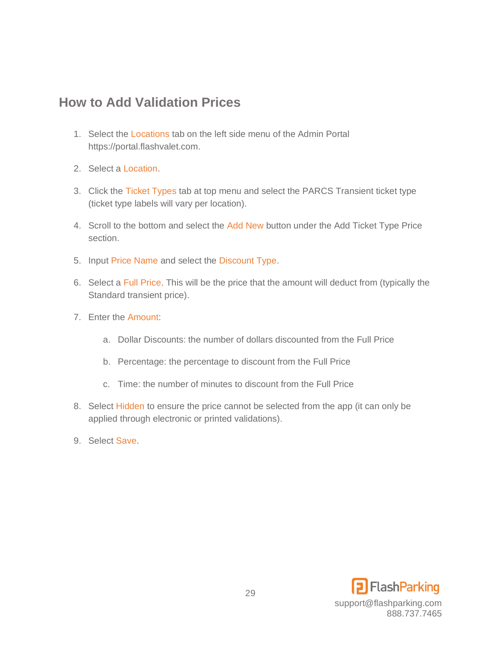## <span id="page-28-0"></span>**How to Add Validation Prices**

- 1. Select the Locations tab on the left side menu of the Admin Portal https://portal.flashvalet.com.
- 2. Select a Location.
- 3. Click the Ticket Types tab at top menu and select the PARCS Transient ticket type (ticket type labels will vary per location).
- 4. Scroll to the bottom and select the Add New button under the Add Ticket Type Price section.
- 5. Input Price Name and select the Discount Type.
- 6. Select a Full Price. This will be the price that the amount will deduct from (typically the Standard transient price).
- 7. Enter the Amount:
	- a. Dollar Discounts: the number of dollars discounted from the Full Price
	- b. Percentage: the percentage to discount from the Full Price
	- c. Time: the number of minutes to discount from the Full Price
- 8. Select Hidden to ensure the price cannot be selected from the app (it can only be applied through electronic or printed validations).
- 9. Select Save.

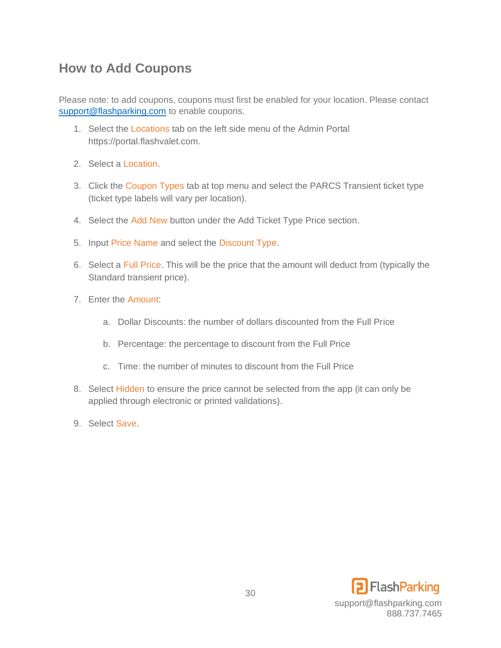## <span id="page-29-0"></span>**How to Add Coupons**

Please note: to add coupons, coupons must first be enabled for your location. Please contact [support@flashparking.com](mailto:support@flashparking.com) to enable coupons.

- 1. Select the Locations tab on the left side menu of the Admin Portal https://portal.flashvalet.com.
- 2. Select a Location.
- 3. Click the Coupon Types tab at top menu and select the PARCS Transient ticket type (ticket type labels will vary per location).
- 4. Select the Add New button under the Add Ticket Type Price section.
- 5. Input Price Name and select the Discount Type.
- 6. Select a Full Price. This will be the price that the amount will deduct from (typically the Standard transient price).
- 7. Enter the Amount:
	- a. Dollar Discounts: the number of dollars discounted from the Full Price
	- b. Percentage: the percentage to discount from the Full Price
	- c. Time: the number of minutes to discount from the Full Price
- 8. Select Hidden to ensure the price cannot be selected from the app (it can only be applied through electronic or printed validations).
- 9. Select Save.

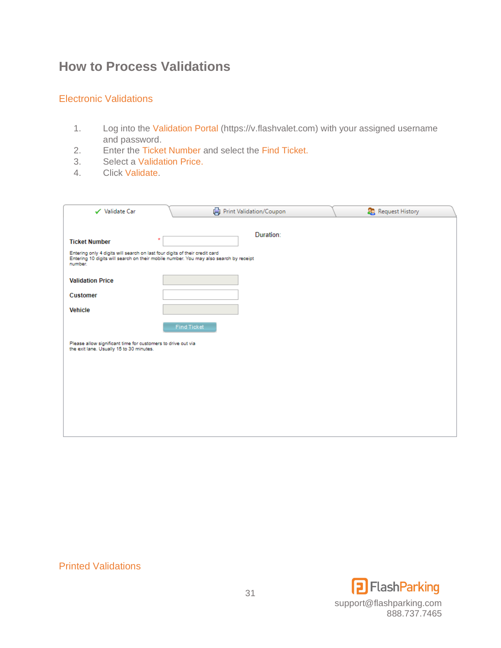## <span id="page-30-0"></span>**How to Process Validations**

#### <span id="page-30-1"></span>Electronic Validations

- 1. Log into the Validation Portal (https://v.flashvalet.com) with your assigned username and password.
- 2. Enter the Ticket Number and select the Find Ticket.
- 3. Select a Validation Price.
- 4. Click Validate.

| Print Validation/Coupon                                                                                                                                                         | Request History                                              |  |  |  |  |  |
|---------------------------------------------------------------------------------------------------------------------------------------------------------------------------------|--------------------------------------------------------------|--|--|--|--|--|
| Duration:                                                                                                                                                                       |                                                              |  |  |  |  |  |
|                                                                                                                                                                                 |                                                              |  |  |  |  |  |
| Entering only 4 digits will search on last four digits of their credit card<br>Entering 10 digits will search on their mobile number. You may also search by receipt<br>number. |                                                              |  |  |  |  |  |
|                                                                                                                                                                                 |                                                              |  |  |  |  |  |
|                                                                                                                                                                                 |                                                              |  |  |  |  |  |
|                                                                                                                                                                                 |                                                              |  |  |  |  |  |
| Find Ticket                                                                                                                                                                     |                                                              |  |  |  |  |  |
|                                                                                                                                                                                 |                                                              |  |  |  |  |  |
|                                                                                                                                                                                 |                                                              |  |  |  |  |  |
|                                                                                                                                                                                 |                                                              |  |  |  |  |  |
|                                                                                                                                                                                 |                                                              |  |  |  |  |  |
|                                                                                                                                                                                 |                                                              |  |  |  |  |  |
|                                                                                                                                                                                 |                                                              |  |  |  |  |  |
|                                                                                                                                                                                 | Please allow significant time for customers to drive out via |  |  |  |  |  |

#### <span id="page-30-2"></span>Printed Validations